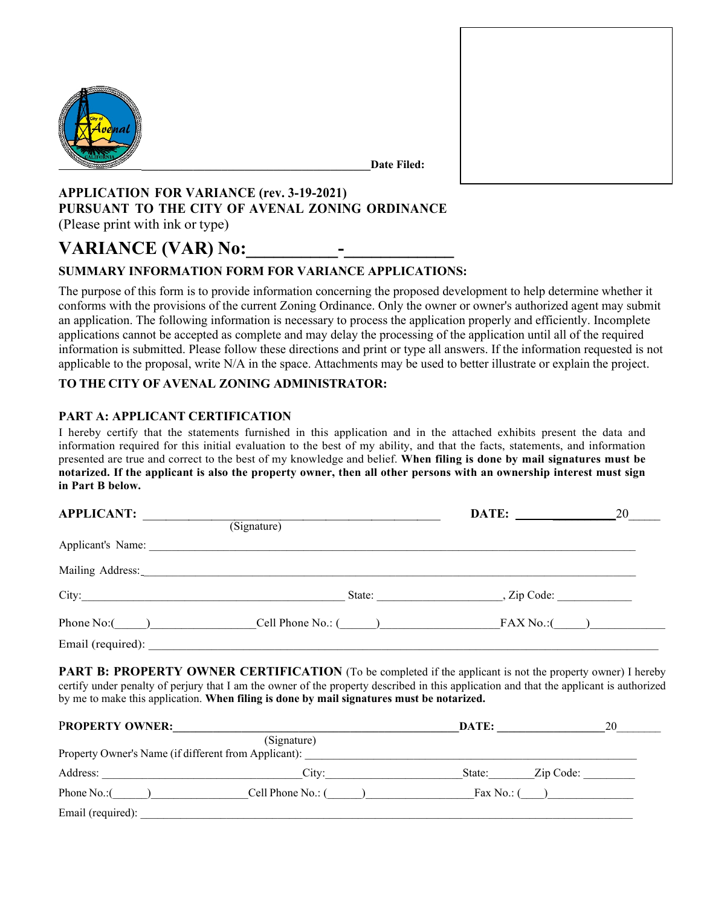

**\_\_\_\_\_\_\_\_\_\_\_\_\_\_\_\_\_\_\_\_\_\_\_\_\_\_\_\_\_\_\_\_\_\_\_\_\_\_\_\_Date Filed:** 

# **APPLICATION FOR VARIANCE (rev. 3-19-2021) PURSUANT TO THE CITY OF AVENAL ZONING ORDINANCE** (Please print with ink or type)

# **VARIANCE (VAR) No:**

# **SUMMARY INFORMATION FORM FOR VARIANCE APPLICATIONS:**

The purpose of this form is to provide information concerning the proposed development to help determine whether it conforms with the provisions of the current Zoning Ordinance. Only the owner or owner's authorized agent may submit an application. The following information is necessary to process the application properly and efficiently. Incomplete applications cannot be accepted as complete and may delay the processing of the application until all of the required information is submitted. Please follow these directions and print or type all answers. If the information requested is not applicable to the proposal, write  $N/A$  in the space. Attachments may be used to better illustrate or explain the project.

### **TO THE CITY OF AVENAL ZONING ADMINISTRATOR:**

### **PART A: APPLICANT CERTIFICATION**

I hereby certify that the statements furnished in this application and in the attached exhibits present the data and information required for this initial evaluation to the best of my ability, and that the facts, statements, and information presented are true and correct to the best of my knowledge and belief. **When filing is done by mail signatures must be notarized. If the applicant is also the property owner, then all other persons with an ownership interest must sign in Part B below.**

| in Part B below.                                                              |                     |                    |    |
|-------------------------------------------------------------------------------|---------------------|--------------------|----|
| <b>APPLICANT:</b>                                                             |                     | DATE:              | 20 |
|                                                                               | (Signature)         |                    |    |
|                                                                               |                     |                    |    |
| Mailing Address: Mailing Address: Mailing Address: Mailing Address: Mail 1997 |                     |                    |    |
|                                                                               |                     | State: , Zip Code: |    |
| Phone $No:$ $\qquad \qquad$                                                   | Cell Phone No.: $($ | $FAX No.$ : $($    |    |
| Email (required):                                                             |                     |                    |    |

**PART B: PROPERTY OWNER CERTIFICATION** (To be completed if the applicant is not the property owner) I hereby certify under penalty of perjury that I am the owner of the property described in this application and that the applicant is authorized by me to make this application. **When filing is done by mail signatures must be notarized.**

| <b>PROPERTY OWNER:</b>                               |                   | DATE:        | 20        |
|------------------------------------------------------|-------------------|--------------|-----------|
| Property Owner's Name (if different from Applicant): | (Signature)       |              |           |
| Address:                                             | City:             | State:       | Zip Code: |
| Phone No.:(                                          | Cell Phone No.: ( | Fax No.: $($ |           |
| Email (required):                                    |                   |              |           |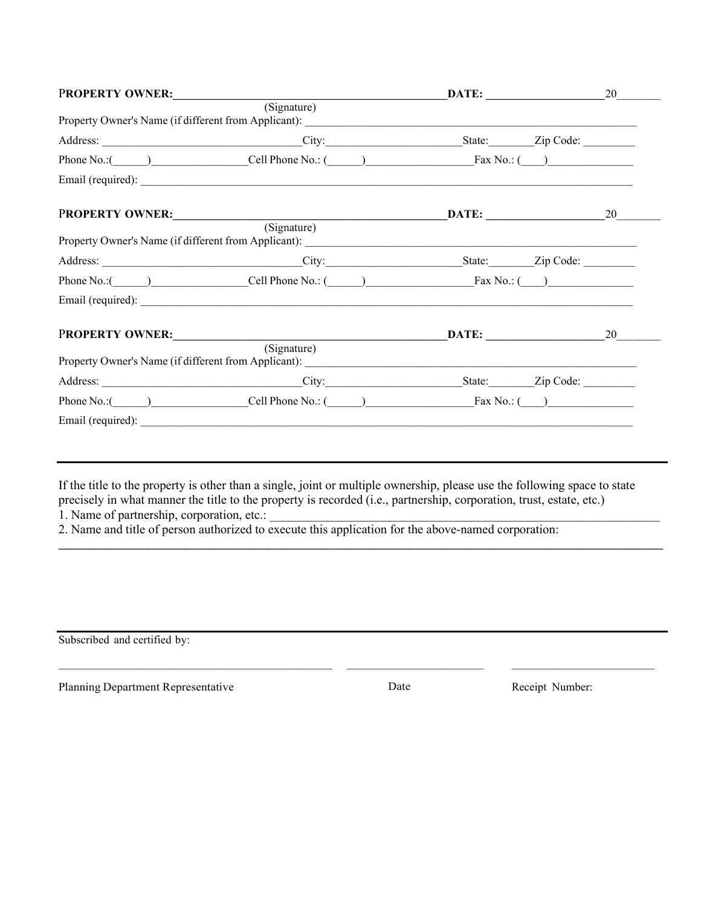| PROPERTY OWNER: |                                                                                                                                                                                                                                | $\overline{\mathbf{DATE}}$ : 20 |    |
|-----------------|--------------------------------------------------------------------------------------------------------------------------------------------------------------------------------------------------------------------------------|---------------------------------|----|
|                 | (Signature)                                                                                                                                                                                                                    |                                 |    |
|                 |                                                                                                                                                                                                                                |                                 |    |
|                 | Phone No.: (Call Phone No.: (Call Phone No.: (Call Phone No.: Tax No.: (Call Phone No.: (Call Phone No.: (Call Phone No.: (Call Phone No.: (Call Phone No.: (Call Phone No.: (Call Phone No.: (Call Phone No.: (Call Phone No. |                                 |    |
|                 |                                                                                                                                                                                                                                |                                 |    |
| PROPERTY OWNER: |                                                                                                                                                                                                                                | $\overline{\mathbf{DATE}}$ : 20 |    |
|                 | (Signature)                                                                                                                                                                                                                    |                                 |    |
|                 |                                                                                                                                                                                                                                |                                 |    |
|                 | Phone No.: $\qquad \qquad$ Cell Phone No.: $\qquad \qquad$ Fax No.: $\qquad \qquad$                                                                                                                                            |                                 |    |
|                 |                                                                                                                                                                                                                                |                                 |    |
| PROPERTY OWNER: |                                                                                                                                                                                                                                | <b>DATE:</b>                    | 20 |
|                 | (Signature)                                                                                                                                                                                                                    |                                 |    |
|                 |                                                                                                                                                                                                                                |                                 |    |
|                 | Phone No.: $\qquad \qquad$ Cell Phone No.: $\qquad \qquad$ Fax No.: $\qquad \qquad$                                                                                                                                            |                                 |    |
|                 |                                                                                                                                                                                                                                |                                 |    |

If the title to the property is other than a single, joint or multiple ownership, please use the following space to state precisely in what manner the title to the property is recorded (i.e., partnership, corporation, trust, estate, etc.)

\_\_\_\_\_\_\_\_\_\_\_\_\_\_\_\_\_\_\_\_\_\_\_\_\_\_\_\_\_\_\_\_\_\_\_\_\_\_\_\_\_\_\_\_\_\_\_\_\_\_\_\_\_\_\_\_\_\_\_\_\_\_\_\_\_\_\_\_\_\_\_\_\_\_\_\_\_\_\_\_\_\_\_\_\_\_\_\_\_\_\_\_\_\_\_

 $\_$  ,  $\_$  ,  $\_$  ,  $\_$  ,  $\_$  ,  $\_$  ,  $\_$  ,  $\_$  ,  $\_$  ,  $\_$  ,  $\_$  ,  $\_$  ,  $\_$  ,  $\_$  ,  $\_$  ,  $\_$  ,  $\_$  ,  $\_$  ,  $\_$  ,  $\_$ 

1. Name of partnership, corporation, etc.:

2. Name and title of person authorized to execute this application for the above-named corporation:

Subscribed and certified by:

Planning Department Representative Date Date Date Receipt Number: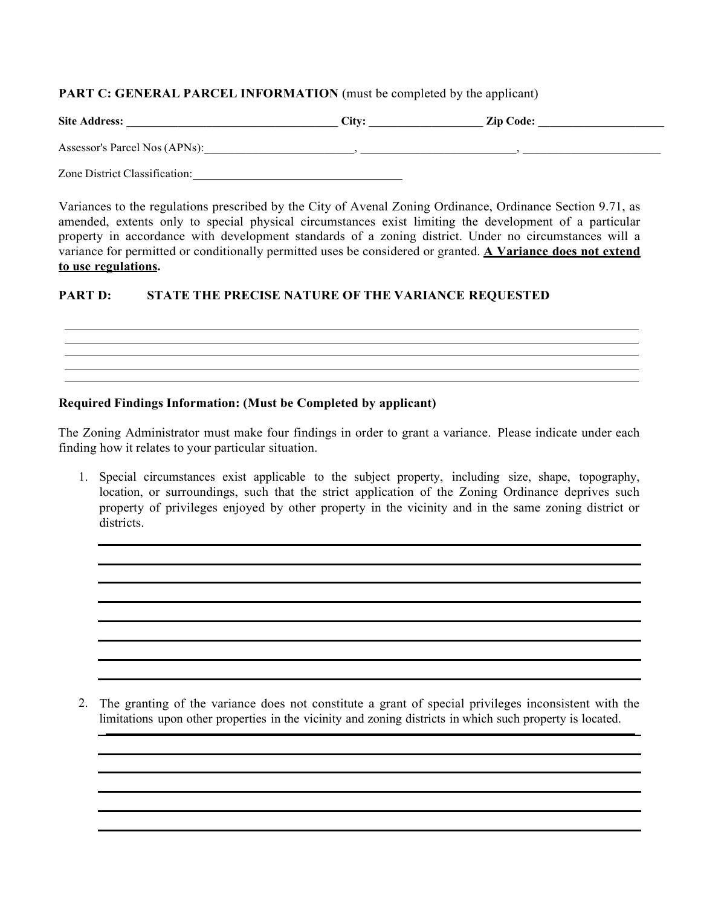#### **PART C: GENERAL PARCEL INFORMATION** (must be completed by the applicant)

| <b>Site Address:</b>          | $C$ ity: | <b>Zip Code:</b> |
|-------------------------------|----------|------------------|
| Assessor's Parcel Nos (APNs): |          |                  |
| Zone District Classification: |          |                  |

Variances to the regulations prescribed by the City of Avenal Zoning Ordinance, Ordinance Section 9.71, as amended, extents only to special physical circumstances exist limiting the development of a particular property in accordance with development standards of a zoning district. Under no circumstances will a variance for permitted or conditionally permitted uses be considered or granted. **A Variance does not extend to use regulations.**

## **PART D: STATE THE PRECISE NATURE OF THE VARIANCE REQUESTED**

### **Required Findings Information: (Must be Completed by applicant)**

The Zoning Administrator must make four findings in order to grant a variance. Please indicate under each finding how it relates to your particular situation.

1. Special circumstances exist applicable to the subject property, including size, shape, topography, location, or surroundings, such that the strict application of the Zoning Ordinance deprives such property of privileges enjoyed by other property in the vicinity and in the same zoning district or districts.

2. The granting of the variance does not constitute a grant of special privileges inconsistent with the limitations upon other properties in the vicinity and zoning districts in which such property is located.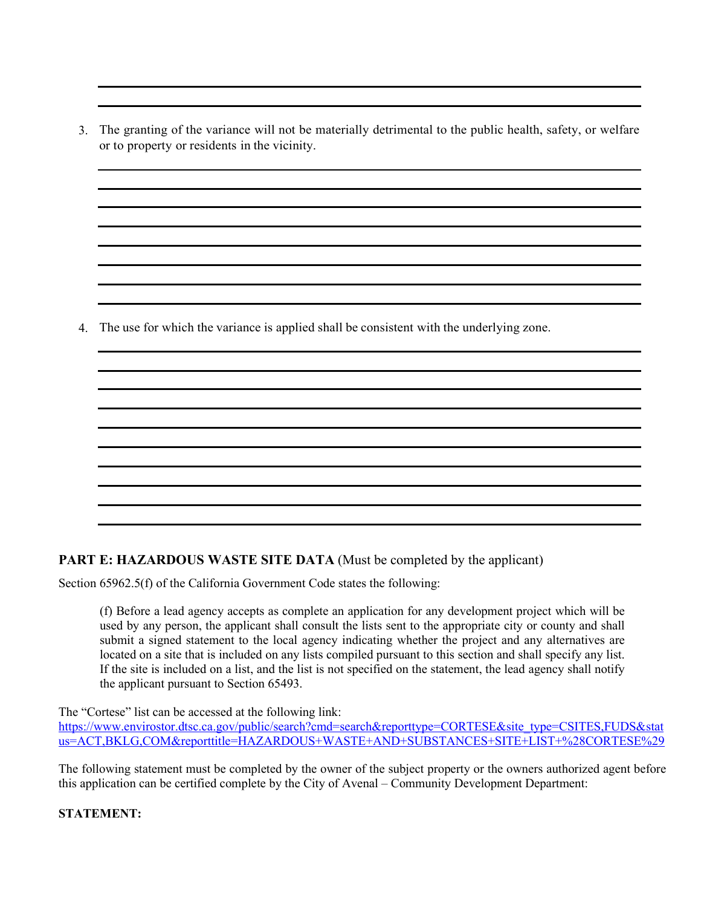3. The granting of the variance will not be materially detrimental to the public health, safety, or welfare or to property or residents in the vicinity.

4. The use for which the variance is applied shall be consistent with the underlying zone.

# **PART E: HAZARDOUS WASTE SITE DATA** (Must be completed by the applicant)

Section 65962.5(f) of the California Government Code states the following:

(f) Before a lead agency accepts as complete an application for any development project which will be used by any person, the applicant shall consult the lists sent to the appropriate city or county and shall submit a signed statement to the local agency indicating whether the project and any alternatives are located on a site that is included on any lists compiled pursuant to this section and shall specify any list. If the site is included on a list, and the list is not specified on the statement, the lead agency shall notify the applicant pursuant to Section 65493.

The "Cortese" list can be accessed at the following link:

[https://www.envirostor.dtsc.ca.gov/public/search?cmd=search&reporttype=CORTESE&site\\_type=CSITES,FUDS&stat](https://www.envirostor.dtsc.ca.gov/public/search?cmd=search&reporttype=CORTESE&site_type=CSITES,FUDS&status=ACT,BKLG,COM&reporttitle=HAZARDOUS+WASTE+AND+SUBSTANCES+SITE+LIST+%28CORTESE%29) [us=ACT,BKLG,COM&reporttitle=HAZARDOUS+WASTE+AND+SUBSTANCES+SITE+LIST+%28CORTESE%29](https://www.envirostor.dtsc.ca.gov/public/search?cmd=search&reporttype=CORTESE&site_type=CSITES,FUDS&status=ACT,BKLG,COM&reporttitle=HAZARDOUS+WASTE+AND+SUBSTANCES+SITE+LIST+%28CORTESE%29)

The following statement must be completed by the owner of the subject property or the owners authorized agent before this application can be certified complete by the City of Avenal – Community Development Department:

**STATEMENT:**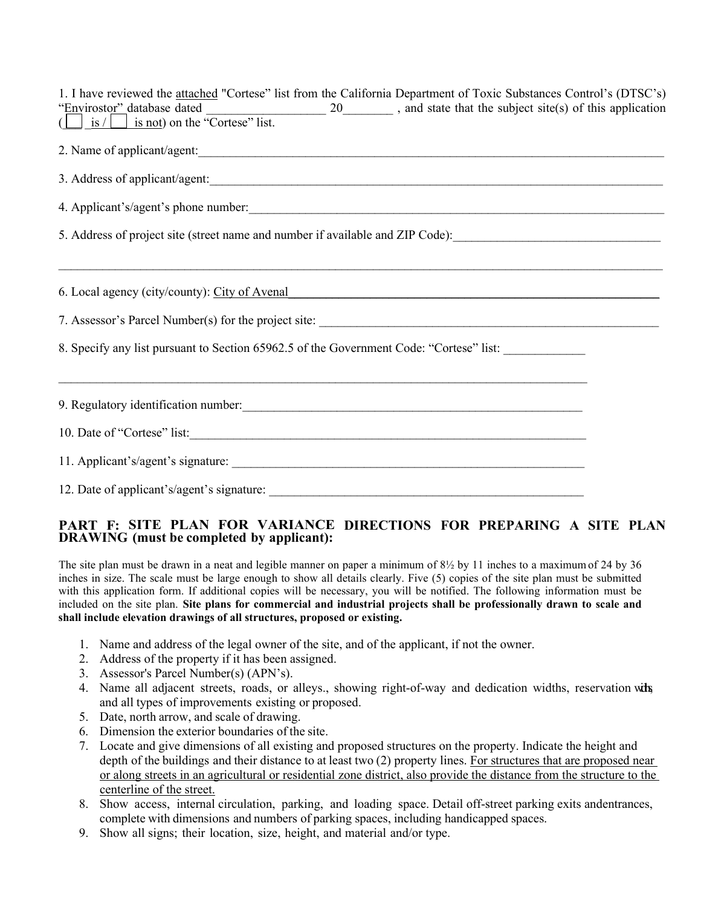| 1. I have reviewed the attached "Cortese" list from the California Department of Toxic Substances Control's (DTSC's)               |  |
|------------------------------------------------------------------------------------------------------------------------------------|--|
| "Envirostor" database dated $\overline{\left(\bigcup_{i=1}^{n} s / \bigcap_{i=1}^{n} s \text{ not}\right)}$ on the "Cortese" list. |  |
|                                                                                                                                    |  |
| 2. Name of applicant/agent:                                                                                                        |  |
|                                                                                                                                    |  |
| 4. Applicant's/agent's phone number:                                                                                               |  |
| 5. Address of project site (street name and number if available and ZIP Code):                                                     |  |
| 6. Local agency (city/county): City of Avenal                                                                                      |  |
|                                                                                                                                    |  |
| 8. Specify any list pursuant to Section 65962.5 of the Government Code: "Cortese" list:                                            |  |
|                                                                                                                                    |  |
|                                                                                                                                    |  |
| 10. Date of "Cortese" list:                                                                                                        |  |
|                                                                                                                                    |  |
|                                                                                                                                    |  |

### **PART F: SITE PLAN FOR VARIANCE DIRECTIONS FOR PREPARING A SITE PLAN DRAWING (must be completed by applicant):**

The site plan must be drawn in a neat and legible manner on paper a minimum of  $8\frac{1}{2}$  by 11 inches to a maximum of 24 by 36 inches in size. The scale must be large enough to show all details clearly. Five (5) copies of the site plan must be submitted with this application form. If additional copies will be necessary, you will be notified. The following information must be included on the site plan. **Site plans for commercial and industrial projects shall be professionally drawn to scale and shall include elevation drawings of all structures, proposed or existing.**

- 1. Name and address of the legal owner of the site, and of the applicant, if not the owner.
- 2. Address of the property if it has been assigned.
- 3. Assessor's Parcel Number(s) (APN's).
- 4. Name all adjacent streets, roads, or alleys., showing right-of-way and dedication widths, reservation widths, and all types of improvements existing or proposed.
- 5. Date, north arrow, and scale of drawing.
- 6. Dimension the exterior boundaries of the site.
- 7. Locate and give dimensions of all existing and proposed structures on the property. Indicate the height and depth of the buildings and their distance to at least two (2) property lines. For structures that are proposed near or along streets in an agricultural or residential zone district, also provide the distance from the structure to the centerline of the street.
- 8. Show access, internal circulation, parking, and loading space. Detail off-street parking exits andentrances, complete with dimensions and numbers of parking spaces, including handicapped spaces.
- 9. Show all signs; their location, size, height, and material and/or type.